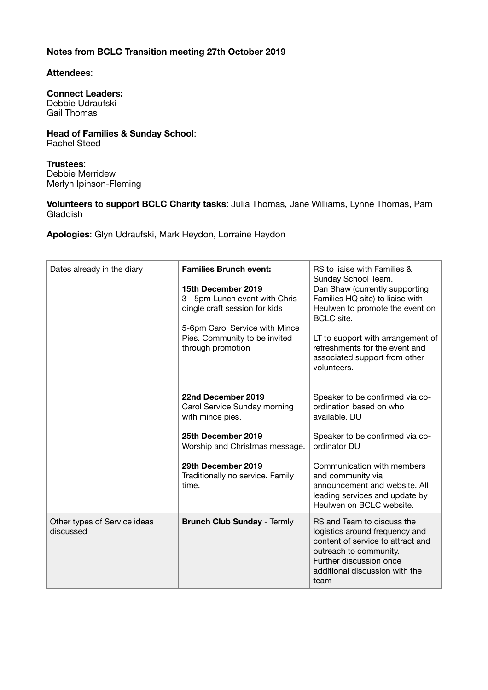## **Notes from BCLC Transition meeting 27th October 2019**

## **Attendees**:

## **Connect Leaders:**  Debbie Udraufski Gail Thomas

**Head of Families & Sunday School**: Rachel Steed

**Trustees**: Debbie Merridew Merlyn Ipinson-Fleming

**Volunteers to support BCLC Charity tasks**: Julia Thomas, Jane Williams, Lynne Thomas, Pam Gladdish

**Apologies**: Glyn Udraufski, Mark Heydon, Lorraine Heydon

| Dates already in the diary                | <b>Families Brunch event:</b><br>15th December 2019<br>3 - 5pm Lunch event with Chris<br>dingle craft session for kids<br>5-6pm Carol Service with Mince<br>Pies. Community to be invited<br>through promotion | RS to liaise with Families &<br>Sunday School Team.<br>Dan Shaw (currently supporting<br>Families HQ site) to liaise with<br>Heulwen to promote the event on<br><b>BCLC</b> site.<br>LT to support with arrangement of<br>refreshments for the event and<br>associated support from other<br>volunteers. |
|-------------------------------------------|----------------------------------------------------------------------------------------------------------------------------------------------------------------------------------------------------------------|----------------------------------------------------------------------------------------------------------------------------------------------------------------------------------------------------------------------------------------------------------------------------------------------------------|
|                                           | 22nd December 2019<br>Carol Service Sunday morning<br>with mince pies.                                                                                                                                         | Speaker to be confirmed via co-<br>ordination based on who<br>available. DU                                                                                                                                                                                                                              |
|                                           | 25th December 2019<br>Worship and Christmas message.                                                                                                                                                           | Speaker to be confirmed via co-<br>ordinator DU                                                                                                                                                                                                                                                          |
|                                           | 29th December 2019<br>Traditionally no service. Family<br>time.                                                                                                                                                | Communication with members<br>and community via<br>announcement and website. All<br>leading services and update by<br>Heulwen on BCLC website.                                                                                                                                                           |
| Other types of Service ideas<br>discussed | <b>Brunch Club Sunday - Termly</b>                                                                                                                                                                             | RS and Team to discuss the<br>logistics around frequency and<br>content of service to attract and<br>outreach to community.<br>Further discussion once<br>additional discussion with the<br>team                                                                                                         |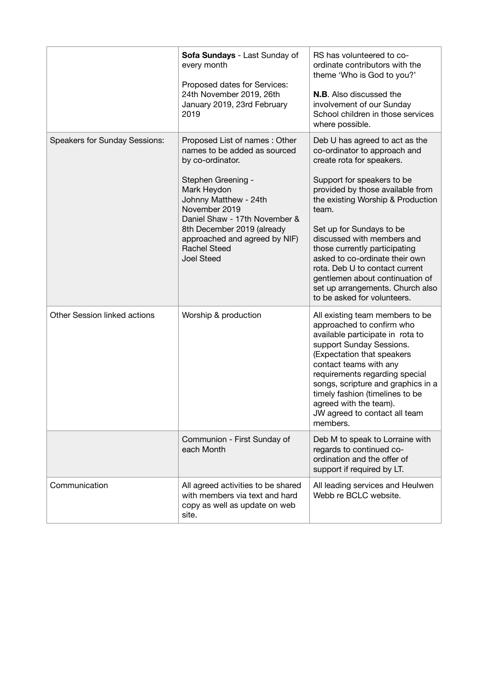|                                      | Sofa Sundays - Last Sunday of<br>every month<br>Proposed dates for Services:<br>24th November 2019, 26th<br>January 2019, 23rd February<br>2019                                                                                                                                                              | RS has volunteered to co-<br>ordinate contributors with the<br>theme 'Who is God to you?'<br><b>N.B.</b> Also discussed the<br>involvement of our Sunday<br>School children in those services<br>where possible.                                                                                                                                                                                                                                                                 |
|--------------------------------------|--------------------------------------------------------------------------------------------------------------------------------------------------------------------------------------------------------------------------------------------------------------------------------------------------------------|----------------------------------------------------------------------------------------------------------------------------------------------------------------------------------------------------------------------------------------------------------------------------------------------------------------------------------------------------------------------------------------------------------------------------------------------------------------------------------|
| <b>Speakers for Sunday Sessions:</b> | Proposed List of names: Other<br>names to be added as sourced<br>by co-ordinator.<br>Stephen Greening -<br>Mark Heydon<br>Johnny Matthew - 24th<br>November 2019<br>Daniel Shaw - 17th November &<br>8th December 2019 (already<br>approached and agreed by NIF)<br><b>Rachel Steed</b><br><b>Joel Steed</b> | Deb U has agreed to act as the<br>co-ordinator to approach and<br>create rota for speakers.<br>Support for speakers to be<br>provided by those available from<br>the existing Worship & Production<br>team.<br>Set up for Sundays to be<br>discussed with members and<br>those currently participating<br>asked to co-ordinate their own<br>rota. Deb U to contact current<br>gentlemen about continuation of<br>set up arrangements. Church also<br>to be asked for volunteers. |
| Other Session linked actions         | Worship & production                                                                                                                                                                                                                                                                                         | All existing team members to be<br>approached to confirm who<br>available participate in rota to<br>support Sunday Sessions.<br>(Expectation that speakers<br>contact teams with any<br>requirements regarding special<br>songs, scripture and graphics in a<br>timely fashion (timelines to be<br>agreed with the team).<br>JW agreed to contact all team<br>members.                                                                                                           |
|                                      | Communion - First Sunday of<br>each Month                                                                                                                                                                                                                                                                    | Deb M to speak to Lorraine with<br>regards to continued co-<br>ordination and the offer of<br>support if required by LT.                                                                                                                                                                                                                                                                                                                                                         |
| Communication                        | All agreed activities to be shared<br>with members via text and hard<br>copy as well as update on web<br>site.                                                                                                                                                                                               | All leading services and Heulwen<br>Webb re BCLC website.                                                                                                                                                                                                                                                                                                                                                                                                                        |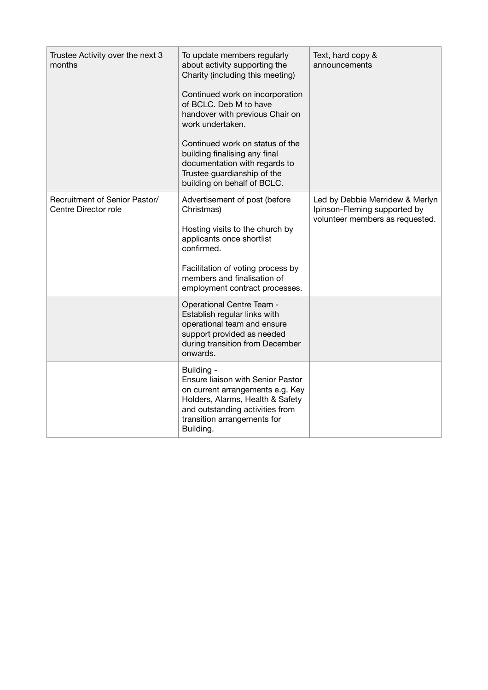| Trustee Activity over the next 3<br>months            | To update members regularly<br>about activity supporting the<br>Charity (including this meeting)<br>Continued work on incorporation<br>of BCLC. Deb M to have<br>handover with previous Chair on<br>work undertaken.<br>Continued work on status of the<br>building finalising any final<br>documentation with regards to<br>Trustee guardianship of the<br>building on behalf of BCLC. | Text, hard copy &<br>announcements                                                                 |
|-------------------------------------------------------|-----------------------------------------------------------------------------------------------------------------------------------------------------------------------------------------------------------------------------------------------------------------------------------------------------------------------------------------------------------------------------------------|----------------------------------------------------------------------------------------------------|
| Recruitment of Senior Pastor/<br>Centre Director role | Advertisement of post (before<br>Christmas)<br>Hosting visits to the church by<br>applicants once shortlist<br>confirmed.<br>Facilitation of voting process by<br>members and finalisation of<br>employment contract processes.                                                                                                                                                         | Led by Debbie Merridew & Merlyn<br>Ipinson-Fleming supported by<br>volunteer members as requested. |
|                                                       | Operational Centre Team -<br>Establish regular links with<br>operational team and ensure<br>support provided as needed<br>during transition from December<br>onwards.                                                                                                                                                                                                                   |                                                                                                    |
|                                                       | Building -<br>Ensure liaison with Senior Pastor<br>on current arrangements e.g. Key<br>Holders, Alarms, Health & Safety<br>and outstanding activities from<br>transition arrangements for<br>Building.                                                                                                                                                                                  |                                                                                                    |